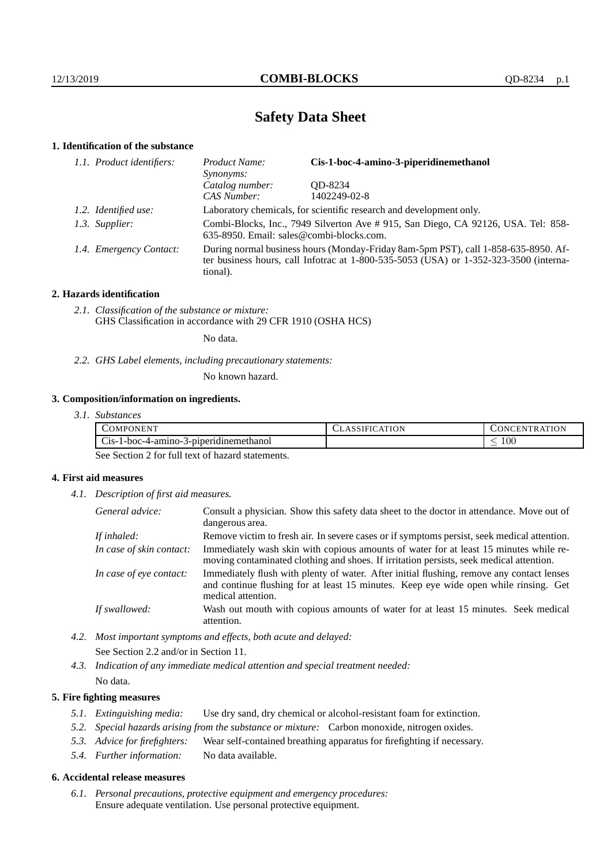# **Safety Data Sheet**

## **1. Identification of the substance**

| 1.1. Product identifiers: | Cis-1-boc-4-amino-3-piperidinemethanol<br>Product Name:<br>Synonyms:                                                                                                                    |              |  |
|---------------------------|-----------------------------------------------------------------------------------------------------------------------------------------------------------------------------------------|--------------|--|
|                           | Catalog number:                                                                                                                                                                         | OD-8234      |  |
|                           | CAS Number:                                                                                                                                                                             | 1402249-02-8 |  |
| 1.2. Identified use:      | Laboratory chemicals, for scientific research and development only.                                                                                                                     |              |  |
| 1.3. Supplier:            | Combi-Blocks, Inc., 7949 Silverton Ave #915, San Diego, CA 92126, USA. Tel: 858-<br>635-8950. Email: sales@combi-blocks.com.                                                            |              |  |
| 1.4. Emergency Contact:   | During normal business hours (Monday-Friday 8am-5pm PST), call 1-858-635-8950. Af-<br>ter business hours, call Infotrac at 1-800-535-5053 (USA) or 1-352-323-3500 (interna-<br>tional). |              |  |

## **2. Hazards identification**

*2.1. Classification of the substance or mixture:* GHS Classification in accordance with 29 CFR 1910 (OSHA HCS)

No data.

*2.2. GHS Label elements, including precautionary statements:*

No known hazard.

## **3. Composition/information on ingredients.**

| <b>TELLIED</b><br>.OMPC<br>ONEN                              | ATION<br>$\Delta$ | <b>ATION</b><br>`H.N<br><b>INI</b><br>TRA |
|--------------------------------------------------------------|-------------------|-------------------------------------------|
| $\sim$<br>. .<br>3-piperidinemethanol<br>Cis-1-boc-4-amino-3 |                   | 100 <sub>1</sub>                          |

See Section 2 for full text of hazard statements.

## **4. First aid measures**

*4.1. Description of first aid measures.*

| General advice:          | Consult a physician. Show this safety data sheet to the doctor in attendance. Move out of<br>dangerous area.                                                                                            |
|--------------------------|---------------------------------------------------------------------------------------------------------------------------------------------------------------------------------------------------------|
| If inhaled:              | Remove victim to fresh air. In severe cases or if symptoms persist, seek medical attention.                                                                                                             |
| In case of skin contact: | Immediately wash skin with copious amounts of water for at least 15 minutes while re-<br>moving contaminated clothing and shoes. If irritation persists, seek medical attention.                        |
| In case of eye contact:  | Immediately flush with plenty of water. After initial flushing, remove any contact lenses<br>and continue flushing for at least 15 minutes. Keep eye wide open while rinsing. Get<br>medical attention. |
| If swallowed:            | Wash out mouth with copious amounts of water for at least 15 minutes. Seek medical<br>attention.                                                                                                        |

- *4.2. Most important symptoms and effects, both acute and delayed:* See Section 2.2 and/or in Section 11.
- *4.3. Indication of any immediate medical attention and special treatment needed:* No data.

## **5. Fire fighting measures**

- *5.1. Extinguishing media:* Use dry sand, dry chemical or alcohol-resistant foam for extinction.
- *5.2. Special hazards arising from the substance or mixture:* Carbon monoxide, nitrogen oxides.
- *5.3. Advice for firefighters:* Wear self-contained breathing apparatus for firefighting if necessary.
- *5.4. Further information:* No data available.

### **6. Accidental release measures**

*6.1. Personal precautions, protective equipment and emergency procedures:* Ensure adequate ventilation. Use personal protective equipment.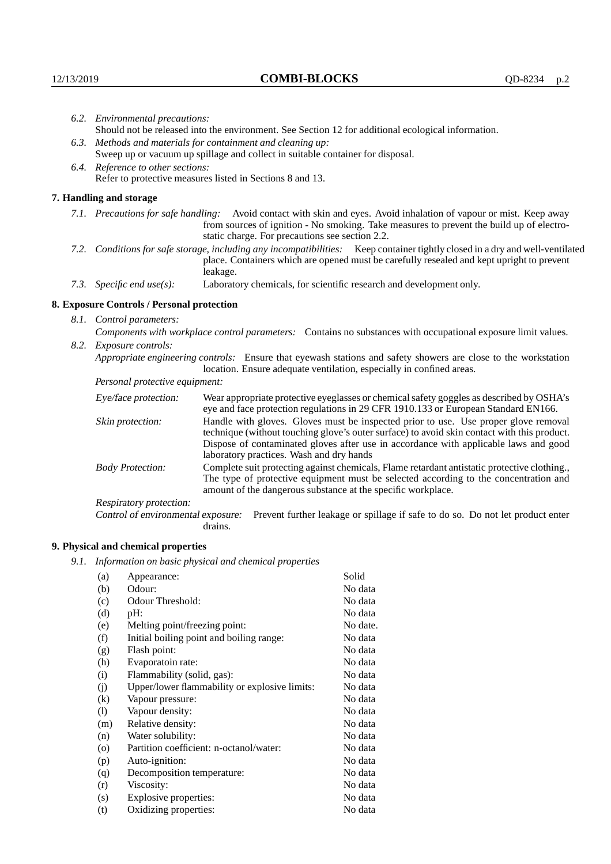|                                                                | 6.2. Environmental precautions:            |                                                                                                                                                                                                                                                                                                                        |  |
|----------------------------------------------------------------|--------------------------------------------|------------------------------------------------------------------------------------------------------------------------------------------------------------------------------------------------------------------------------------------------------------------------------------------------------------------------|--|
|                                                                |                                            | Should not be released into the environment. See Section 12 for additional ecological information.                                                                                                                                                                                                                     |  |
| Methods and materials for containment and cleaning up:<br>6.3. |                                            |                                                                                                                                                                                                                                                                                                                        |  |
|                                                                |                                            | Sweep up or vacuum up spillage and collect in suitable container for disposal.                                                                                                                                                                                                                                         |  |
|                                                                | 6.4. Reference to other sections:          |                                                                                                                                                                                                                                                                                                                        |  |
|                                                                |                                            | Refer to protective measures listed in Sections 8 and 13.                                                                                                                                                                                                                                                              |  |
|                                                                | 7. Handling and storage                    |                                                                                                                                                                                                                                                                                                                        |  |
|                                                                |                                            | 7.1. Precautions for safe handling: Avoid contact with skin and eyes. Avoid inhalation of vapour or mist. Keep away<br>from sources of ignition - No smoking. Take measures to prevent the build up of electro-<br>static charge. For precautions see section 2.2.                                                     |  |
| 7.2.                                                           |                                            | Conditions for safe storage, including any incompatibilities: Keep container tightly closed in a dry and well-ventilated<br>place. Containers which are opened must be carefully resealed and kept upright to prevent<br>leakage.                                                                                      |  |
|                                                                | 7.3. Specific end use(s):                  | Laboratory chemicals, for scientific research and development only.                                                                                                                                                                                                                                                    |  |
|                                                                | 8. Exposure Controls / Personal protection |                                                                                                                                                                                                                                                                                                                        |  |
|                                                                | 8.1. Control parameters:                   |                                                                                                                                                                                                                                                                                                                        |  |
|                                                                |                                            | Components with workplace control parameters: Contains no substances with occupational exposure limit values.                                                                                                                                                                                                          |  |
| 8.2.                                                           | Exposure controls:                         |                                                                                                                                                                                                                                                                                                                        |  |
|                                                                |                                            | Appropriate engineering controls: Ensure that eyewash stations and safety showers are close to the workstation<br>location. Ensure adequate ventilation, especially in confined areas.                                                                                                                                 |  |
|                                                                | Personal protective equipment:             |                                                                                                                                                                                                                                                                                                                        |  |
|                                                                | Eye/face protection:                       | Wear appropriate protective eyeglasses or chemical safety goggles as described by OSHA's<br>eye and face protection regulations in 29 CFR 1910.133 or European Standard EN166.                                                                                                                                         |  |
|                                                                | Skin protection:                           | Handle with gloves. Gloves must be inspected prior to use. Use proper glove removal<br>technique (without touching glove's outer surface) to avoid skin contact with this product.<br>Dispose of contaminated gloves after use in accordance with applicable laws and good<br>laboratory practices. Wash and dry hands |  |
|                                                                | <b>Body Protection:</b>                    | Complete suit protecting against chemicals, Flame retardant antistatic protective clothing.,<br>The type of protective equipment must be selected according to the concentration and<br>amount of the dangerous substance at the specific workplace.                                                                   |  |
|                                                                | Departementation                           |                                                                                                                                                                                                                                                                                                                        |  |

Respiratory protection:

Control of environmental exposure: Prevent further leakage or spillage if safe to do so. Do not let product enter drains.

# **9. Physical and chemical properties**

*9.1. Information on basic physical and chemical properties*

| (a)      |                                               | Solid    |
|----------|-----------------------------------------------|----------|
|          | Appearance:                                   |          |
| (b)      | Odour:                                        | No data  |
| (c)      | Odour Threshold:                              | No data  |
| (d)      | pH:                                           | No data  |
| (e)      | Melting point/freezing point:                 | No date. |
| (f)      | Initial boiling point and boiling range:      | No data  |
| (g)      | Flash point:                                  | No data  |
| (h)      | Evaporatoin rate:                             | No data  |
| (i)      | Flammability (solid, gas):                    | No data  |
| (j)      | Upper/lower flammability or explosive limits: | No data  |
| $\rm(k)$ | Vapour pressure:                              | No data  |
| (1)      | Vapour density:                               | No data  |
| (m)      | Relative density:                             | No data  |
| (n)      | Water solubility:                             | No data  |
| (0)      | Partition coefficient: n-octanol/water:       | No data  |
| (p)      | Auto-ignition:                                | No data  |
| (q)      | Decomposition temperature:                    | No data  |
| (r)      | Viscosity:                                    | No data  |
| (s)      | Explosive properties:                         | No data  |
| (t)      | Oxidizing properties:                         | No data  |